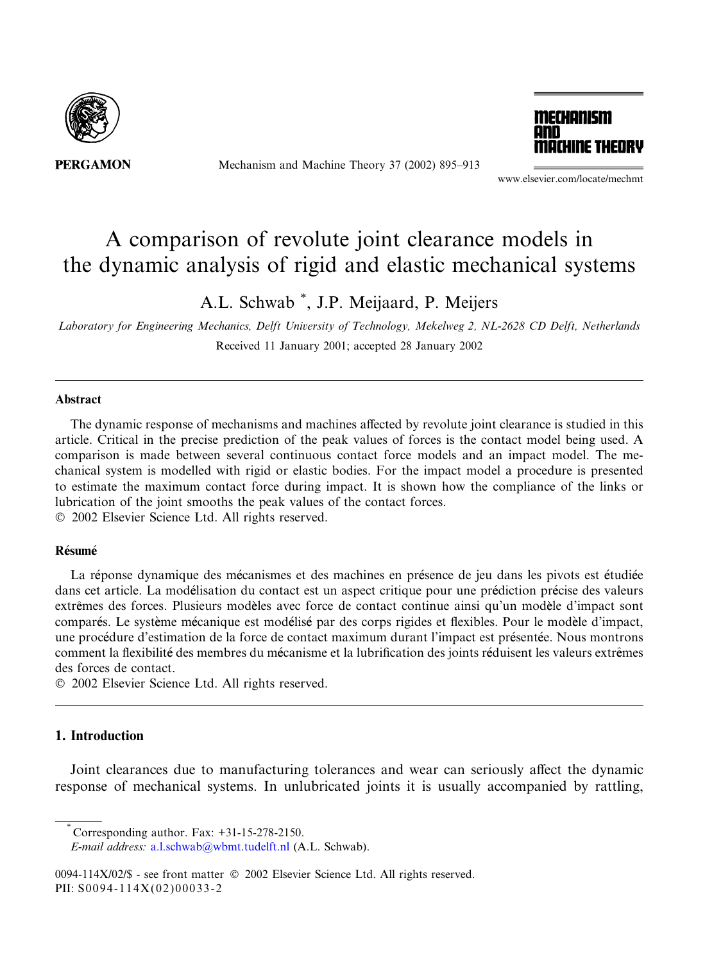

Mechanism and Machine Theory 37 (2002) 895–913



www.elsevier.com/locate/mechmt

# A comparison of revolute joint clearance models in the dynamic analysis of rigid and elastic mechanical systems

A.L. Schwab \* , J.P. Meijaard, P. Meijers

Laboratory for Engineering Mechanics, Delft University of Technology, Mekelweg 2, NL-2628 CD Delft, Netherlands Received 11 January 2001; accepted 28 January 2002

#### Abstract

The dynamic response of mechanisms and machines affected by revolute joint clearance is studied in this article. Critical in the precise prediction of the peak values of forces is the contact model being used. A comparison is made between several continuous contact force models and an impact model. The mechanical system is modelled with rigid or elastic bodies. For the impact model a procedure is presented to estimate the maximum contact force during impact. It is shown how the compliance of the links or lubrication of the joint smooths the peak values of the contact forces. 2002 Elsevier Science Ltd. All rights reserved.

#### Résumé

La réponse dynamique des mécanismes et des machines en présence de jeu dans les pivots est étudiée dans cet article. La modelisation du contact est un aspect critique pour une prediction precise des valeurs extrêmes des forces. Plusieurs modèles avec force de contact continue ainsi qu'un modèle d'impact sont compares. Le systeme mecanique est modelise par des corps rigides et flexibles. Pour le modele d'impact, une procedure d'estimation de la force de contact maximum durant l'impact est presentee. Nous montrons comment la flexibilite des membres du mecanisme et la lubrification des joints reduisent les valeurs extr^emes des forces de contact.

2002 Elsevier Science Ltd. All rights reserved.

# 1. Introduction

Joint clearances due to manufacturing tolerances and wear can seriously affect the dynamic response of mechanical systems. In unlubricated joints it is usually accompanied by rattling,

<sup>\*</sup> Corresponding author. Fax: +31-15-278-2150.

E-mail address: [a.l.schwab@wbmt.tudelft.nl](mail to: a.l.schwab@wbmt.tudelft.nl) (A.L. Schwab).

<sup>0094-114</sup>X/02/\$ - see front matter 2002 Elsevier Science Ltd. All rights reserved. PII: S0094-114X(02)00033-2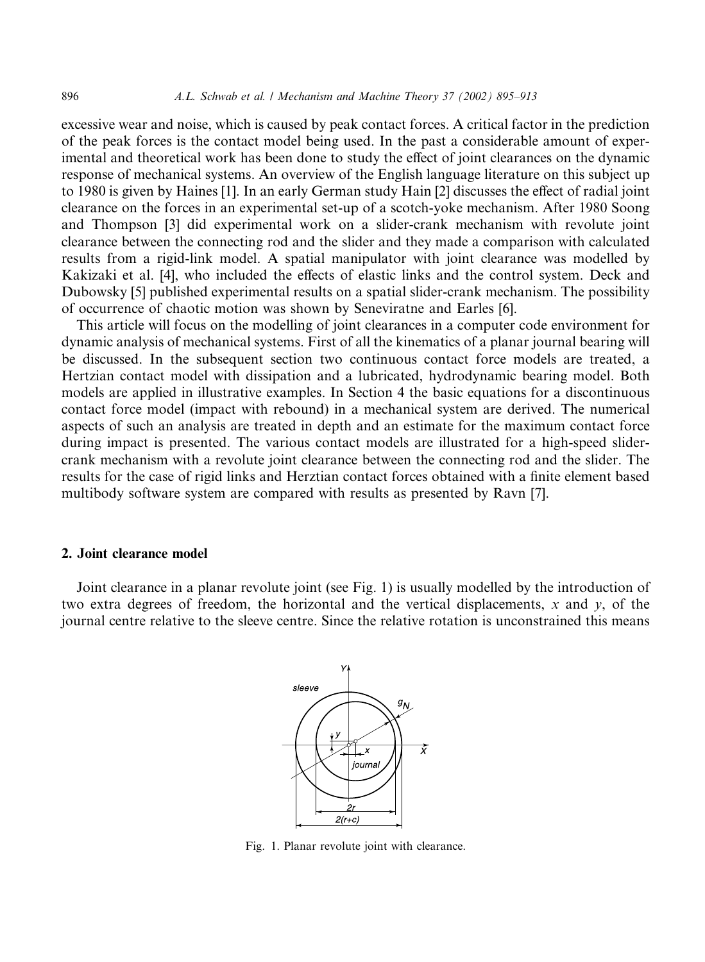excessive wear and noise, which is caused by peak contact forces. A critical factor in the prediction of the peak forces is the contact model being used. In the past a considerable amount of experimental and theoretical work has been done to study the effect of joint clearances on the dynamic response of mechanical systems. An overview of the English language literature on this subject up to 1980 is given by Haines [1]. In an early German study Hain [2] discusses the effect of radial joint clearance on the forces in an experimental set-up of a scotch-yoke mechanism. After 1980 Soong and Thompson [3] did experimental work on a slider-crank mechanism with revolute joint clearance between the connecting rod and the slider and they made a comparison with calculated results from a rigid-link model. A spatial manipulator with joint clearance was modelled by Kakizaki et al. [4], who included the effects of elastic links and the control system. Deck and Dubowsky [5] published experimental results on a spatial slider-crank mechanism. The possibility of occurrence of chaotic motion was shown by Seneviratne and Earles [6].

This article will focus on the modelling of joint clearances in a computer code environment for dynamic analysis of mechanical systems. First of all the kinematics of a planar journal bearing will be discussed. In the subsequent section two continuous contact force models are treated, a Hertzian contact model with dissipation and a lubricated, hydrodynamic bearing model. Both models are applied in illustrative examples. In Section 4 the basic equations for a discontinuous contact force model (impact with rebound) in a mechanical system are derived. The numerical aspects of such an analysis are treated in depth and an estimate for the maximum contact force during impact is presented. The various contact models are illustrated for a high-speed slidercrank mechanism with a revolute joint clearance between the connecting rod and the slider. The results for the case of rigid links and Herztian contact forces obtained with a finite element based multibody software system are compared with results as presented by Ravn [7].

#### 2. Joint clearance model

Joint clearance in a planar revolute joint (see Fig. 1) is usually modelled by the introduction of two extra degrees of freedom, the horizontal and the vertical displacements, x and y, of the journal centre relative to the sleeve centre. Since the relative rotation is unconstrained this means



Fig. 1. Planar revolute joint with clearance.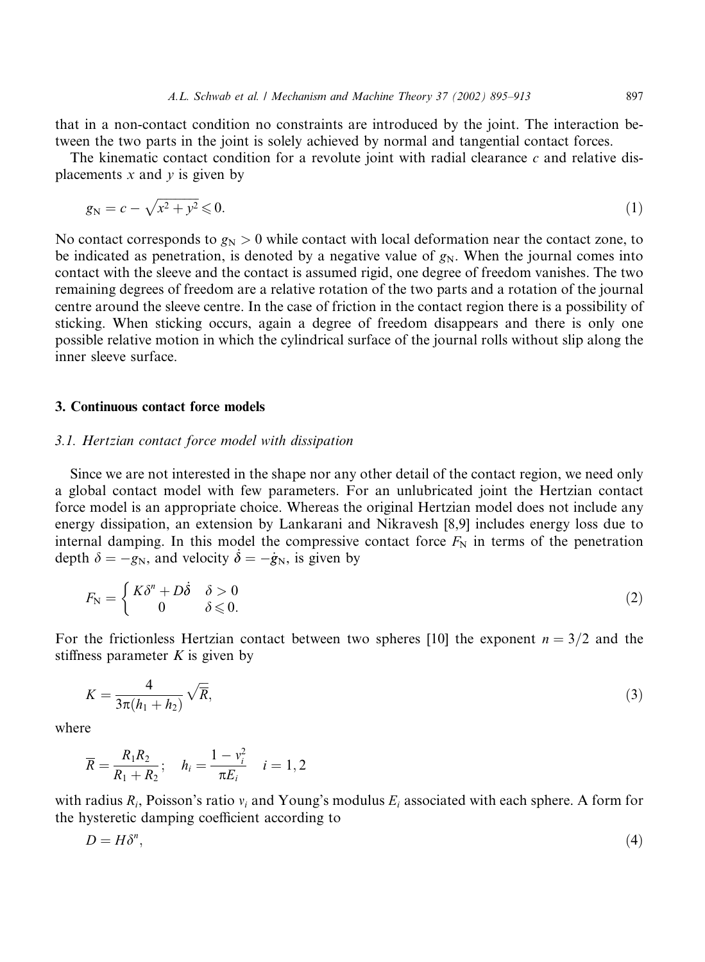that in a non-contact condition no constraints are introduced by the joint. The interaction between the two parts in the joint is solely achieved by normal and tangential contact forces.

The kinematic contact condition for a revolute joint with radial clearance  $c$  and relative displacements  $x$  and  $y$  is given by

$$
g_N = c - \sqrt{x^2 + y^2} \leq 0. \tag{1}
$$

No contact corresponds to  $g_N > 0$  while contact with local deformation near the contact zone, to be indicated as penetration, is denoted by a negative value of  $g_N$ . When the journal comes into contact with the sleeve and the contact is assumed rigid, one degree of freedom vanishes. The two remaining degrees of freedom are a relative rotation of the two parts and a rotation of the journal centre around the sleeve centre. In the case of friction in the contact region there is a possibility of sticking. When sticking occurs, again a degree of freedom disappears and there is only one possible relative motion in which the cylindrical surface of the journal rolls without slip along the inner sleeve surface.

#### 3. Continuous contact force models

# 3.1. Hertzian contact force model with dissipation

Since we are not interested in the shape nor any other detail of the contact region, we need only a global contact model with few parameters. For an unlubricated joint the Hertzian contact force model is an appropriate choice. Whereas the original Hertzian model does not include any energy dissipation, an extension by Lankarani and Nikravesh [8,9] includes energy loss due to internal damping. In this model the compressive contact force  $F_N$  in terms of the penetration depth  $\delta = -g_N$ , and velocity  $\dot{\delta} = -\dot{g}_N$ , is given by

$$
F_{\rm N} = \begin{cases} K\delta^n + D\dot{\delta} & \delta > 0 \\ 0 & \delta \leq 0. \end{cases}
$$
 (2)

For the frictionless Hertzian contact between two spheres [10] the exponent  $n = 3/2$  and the stiffness parameter  $K$  is given by

$$
K = \frac{4}{3\pi(h_1 + h_2)}\sqrt{\overline{R}},\tag{3}
$$

where

$$
\overline{R} = \frac{R_1 R_2}{R_1 + R_2}; \quad h_i = \frac{1 - v_i^2}{\pi E_i} \quad i = 1, 2
$$

with radius  $R_i$ , Poisson's ratio  $v_i$  and Young's modulus  $E_i$  associated with each sphere. A form for the hysteretic damping coefficient according to

$$
D = H\delta^n,\tag{4}
$$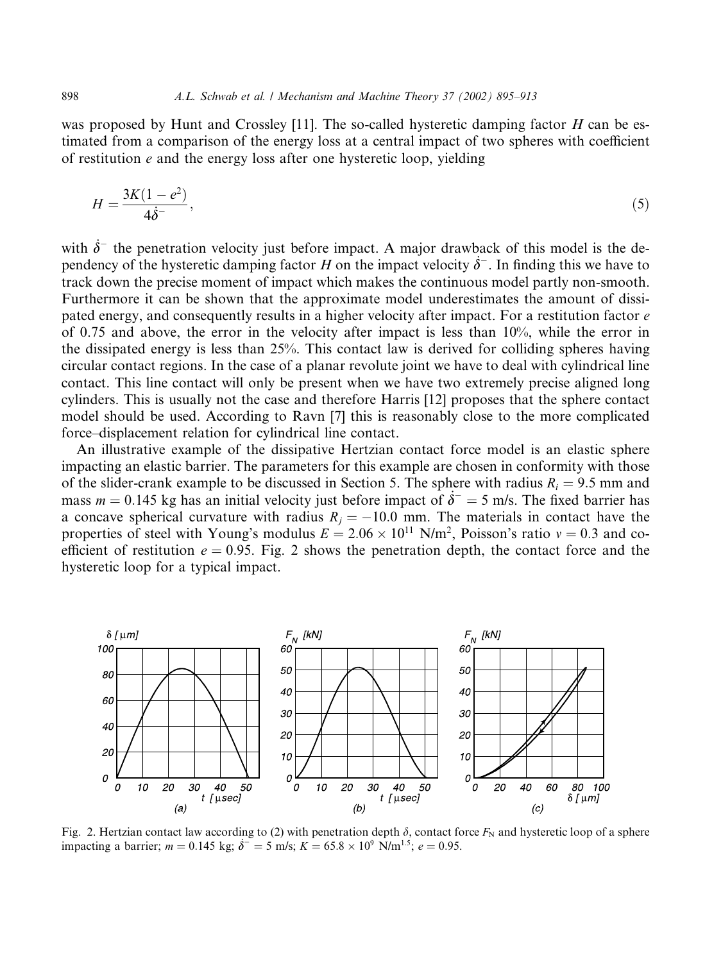was proposed by Hunt and Crossley [11]. The so-called hysteretic damping factor  $H$  can be estimated from a comparison of the energy loss at a central impact of two spheres with coefficient of restitution  $e$  and the energy loss after one hysteretic loop, yielding

$$
H = \frac{3K(1 - e^2)}{4\dot{\delta}^-},\tag{5}
$$

with  $\dot{\delta}^-$  the penetration velocity just before impact. A major drawback of this model is the dependency of the hysteretic damping factor H on the impact velocity  $\dot{\delta}^-$ . In finding this we have to track down the precise moment of impact which makes the continuous model partly non-smooth. Furthermore it can be shown that the approximate model underestimates the amount of dissipated energy, and consequently results in a higher velocity after impact. For a restitution factor  $e$ of 0.75 and above, the error in the velocity after impact is less than 10%, while the error in the dissipated energy is less than 25%. This contact law is derived for colliding spheres having circular contact regions. In the case of a planar revolute joint we have to deal with cylindrical line contact. This line contact will only be present when we have two extremely precise aligned long cylinders. This is usually not the case and therefore Harris [12] proposes that the sphere contact model should be used. According to Ravn [7] this is reasonably close to the more complicated force–displacement relation for cylindrical line contact.

An illustrative example of the dissipative Hertzian contact force model is an elastic sphere impacting an elastic barrier. The parameters for this example are chosen in conformity with those of the slider-crank example to be discussed in Section 5. The sphere with radius  $R_i = 9.5$  mm and mass  $m = 0.145$  kg has an initial velocity just before impact of  $\dot{\delta}^- = 5$  m/s. The fixed barrier has a concave spherical curvature with radius  $R_j = -10.0$  mm. The materials in contact have the properties of steel with Young's modulus  $E = 2.06 \times 10^{11}$  N/m<sup>2</sup>, Poisson's ratio  $v = 0.3$  and coefficient of restitution  $e = 0.95$ . Fig. 2 shows the penetration depth, the contact force and the hysteretic loop for a typical impact.



Fig. 2. Hertzian contact law according to (2) with penetration depth  $\delta$ , contact force  $F_N$  and hysteretic loop of a sphere impacting a barrier;  $m = 0.145$  kg;  $\dot{\delta}^- = 5$  m/s;  $K = 65.8 \times 10^9$  N/m<sup>1.5</sup>;  $e = 0.95$ .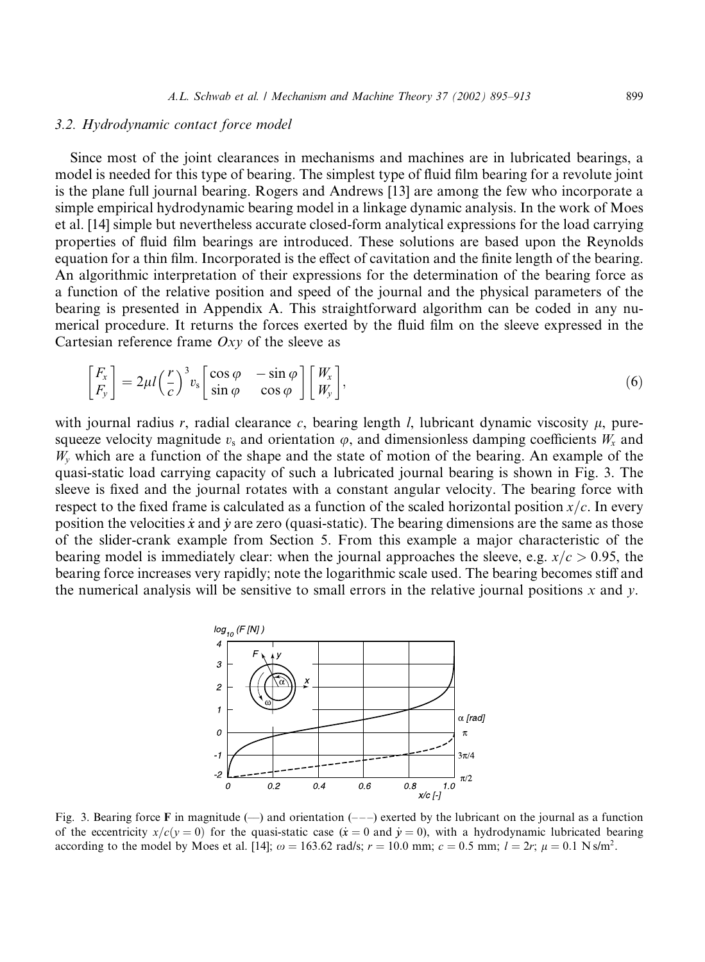#### 3.2. Hydrodynamic contact force model

Since most of the joint clearances in mechanisms and machines are in lubricated bearings, a model is needed for this type of bearing. The simplest type of fluid film bearing for a revolute joint is the plane full journal bearing. Rogers and Andrews [13] are among the few who incorporate a simple empirical hydrodynamic bearing model in a linkage dynamic analysis. In the work of Moes et al. [14] simple but nevertheless accurate closed-form analytical expressions for the load carrying properties of fluid film bearings are introduced. These solutions are based upon the Reynolds equation for a thin film. Incorporated is the effect of cavitation and the finite length of the bearing. An algorithmic interpretation of their expressions for the determination of the bearing force as a function of the relative position and speed of the journal and the physical parameters of the bearing is presented in Appendix A. This straightforward algorithm can be coded in any numerical procedure. It returns the forces exerted by the fluid film on the sleeve expressed in the Cartesian reference frame  $Oxy$  of the sleeve as

$$
\begin{bmatrix} F_x \\ F_y \end{bmatrix} = 2\mu l \left(\frac{r}{c}\right)^3 v_s \begin{bmatrix} \cos\varphi & -\sin\varphi \\ \sin\varphi & \cos\varphi \end{bmatrix} \begin{bmatrix} W_x \\ W_y \end{bmatrix},\tag{6}
$$

with journal radius r, radial clearance c, bearing length  $l$ , lubricant dynamic viscosity  $u$ , puresqueeze velocity magnitude  $v_s$  and orientation  $\varphi$ , and dimensionless damping coefficients  $W_x$  and  $W<sub>v</sub>$  which are a function of the shape and the state of motion of the bearing. An example of the quasi-static load carrying capacity of such a lubricated journal bearing is shown in Fig. 3. The sleeve is fixed and the journal rotates with a constant angular velocity. The bearing force with respect to the fixed frame is calculated as a function of the scaled horizontal position  $x/c$ . In every position the velocities x and y are zero (quasi-static). The bearing dimensions are the same as those of the slider-crank example from Section 5. From this example a major characteristic of the bearing model is immediately clear: when the journal approaches the sleeve, e.g.  $x/c > 0.95$ , the bearing force increases very rapidly; note the logarithmic scale used. The bearing becomes stiff and the numerical analysis will be sensitive to small errors in the relative journal positions  $x$  and  $y$ .



Fig. 3. Bearing force F in magnitude  $(-)$  and orientation  $(-)$  exerted by the lubricant on the journal as a function of the eccentricity  $x/c(y=0)$  for the quasi-static case  $(\dot{x}=0 \text{ and } \dot{y}=0)$ , with a hydrodynamic lubricated bearing according to the model by Moes et al. [14];  $\omega = 163.62$  rad/s;  $r = 10.0$  mm;  $c = 0.5$  mm;  $l = 2r$ ;  $\mu = 0.1$  N s/m<sup>2</sup>.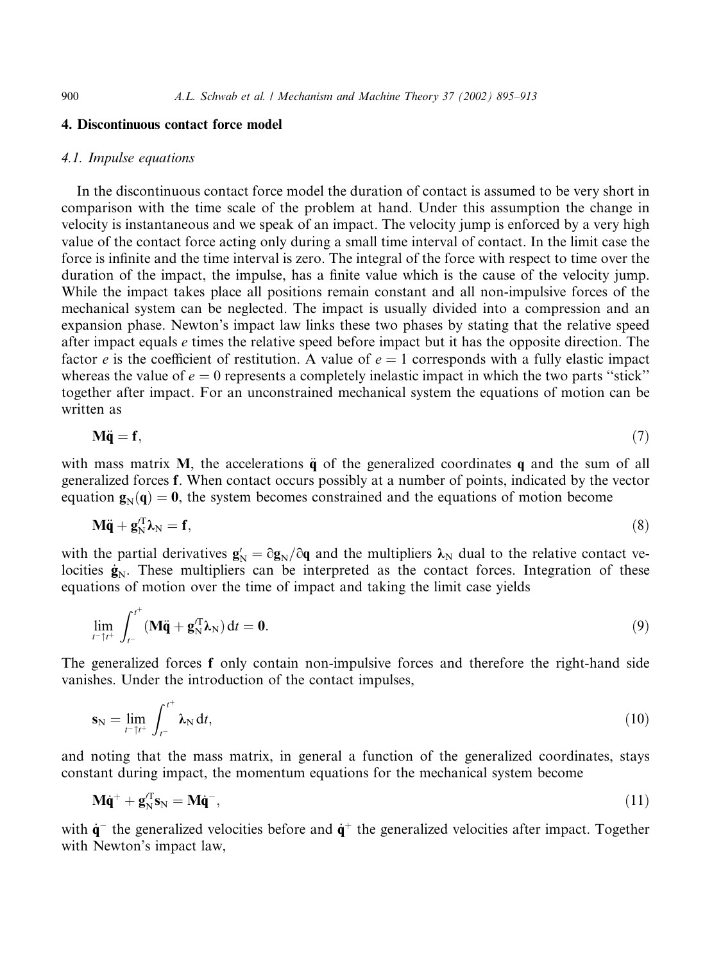#### 4. Discontinuous contact force model

#### 4.1. Impulse equations

In the discontinuous contact force model the duration of contact is assumed to be very short in comparison with the time scale of the problem at hand. Under this assumption the change in velocity is instantaneous and we speak of an impact. The velocity jump is enforced by a very high value of the contact force acting only during a small time interval of contact. In the limit case the force is infinite and the time interval is zero. The integral of the force with respect to time over the duration of the impact, the impulse, has a finite value which is the cause of the velocity jump. While the impact takes place all positions remain constant and all non-impulsive forces of the mechanical system can be neglected. The impact is usually divided into a compression and an expansion phase. Newton's impact law links these two phases by stating that the relative speed after impact equals  $e$  times the relative speed before impact but it has the opposite direction. The factor e is the coefficient of restitution. A value of  $e = 1$  corresponds with a fully elastic impact whereas the value of  $e = 0$  represents a completely inelastic impact in which the two parts "stick" together after impact. For an unconstrained mechanical system the equations of motion can be written as

$$
M\ddot{q} = f,\tag{7}
$$

with mass matrix M, the accelerations  $\ddot{\mathbf{q}}$  of the generalized coordinates q and the sum of all generalized forces f. When contact occurs possibly at a number of points, indicated by the vector equation  $\mathbf{g}_{N}(\mathbf{q}) = \mathbf{0}$ , the system becomes constrained and the equations of motion become

$$
\mathbf{M}\ddot{\mathbf{q}} + \mathbf{g}_{N}^{T}\lambda_{N} = \mathbf{f},\tag{8}
$$

with the partial derivatives  $g_N' = \partial g_N / \partial q$  and the multipliers  $\lambda_N$  dual to the relative contact velocities  $\dot{\mathbf{g}}_N$ . These multipliers can be interpreted as the contact forces. Integration of these equations of motion over the time of impact and taking the limit case yields

$$
\lim_{t^- \uparrow t^+} \int_{t^-}^{t^+} (\mathbf{M}\ddot{\mathbf{q}} + \mathbf{g}_N^T \mathbf{\lambda}_N) dt = \mathbf{0}.
$$
\n(9)

The generalized forces f only contain non-impulsive forces and therefore the right-hand side vanishes. Under the introduction of the contact impulses,

$$
\mathbf{s}_{N} = \lim_{t^{-} \uparrow t^{+}} \int_{t^{-}}^{t^{+}} \lambda_{N} dt,
$$
\n(10)

and noting that the mass matrix, in general a function of the generalized coordinates, stays constant during impact, the momentum equations for the mechanical system become

$$
\mathbf{M}\dot{\mathbf{q}}^+ + \mathbf{g}_N^T \mathbf{s}_N = \mathbf{M}\dot{\mathbf{q}}^-, \tag{11}
$$

with  $\dot{q}$  the generalized velocities before and  $\dot{q}$ <sup>+</sup> the generalized velocities after impact. Together with Newton's impact law,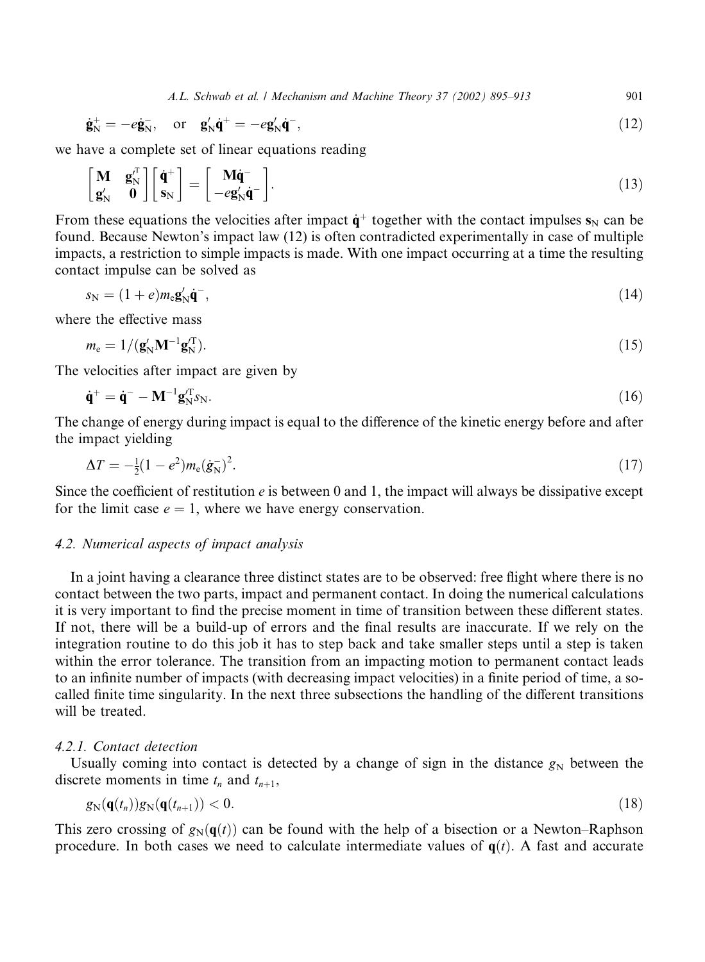A.L. Schwab et al. / Mechanism and Machine Theory 37 (2002) 895–913 901

$$
\dot{\mathbf{g}}_{\mathrm{N}}^{+} = -e\dot{\mathbf{g}}_{\mathrm{N}}^{-}, \quad \text{or} \quad \mathbf{g}_{\mathrm{N}}^{\prime}\dot{\mathbf{q}}^{+} = -e\mathbf{g}_{\mathrm{N}}^{\prime}\dot{\mathbf{q}}^{-}, \tag{12}
$$

we have a complete set of linear equations reading

$$
\begin{bmatrix} \mathbf{M} & \mathbf{g}_{N}^{J^{T}} \\ \mathbf{g}_{N}^{J} & \mathbf{0} \end{bmatrix} \begin{bmatrix} \dot{\mathbf{q}}^{+} \\ \mathbf{s}_{N} \end{bmatrix} = \begin{bmatrix} \mathbf{M}\dot{\mathbf{q}}^{-} \\ -e\mathbf{g}_{N}^{J}\dot{\mathbf{q}}^{-} \end{bmatrix}.
$$
\n(13)

From these equations the velocities after impact  $\dot{q}^+$  together with the contact impulses  $s_N$  can be found. Because Newton's impact law (12) is often contradicted experimentally in case of multiple impacts, a restriction to simple impacts is made. With one impact occurring at a time the resulting contact impulse can be solved as

$$
s_N = (1+e)m_e\mathbf{g}'_N\dot{\mathbf{q}}^-, \tag{14}
$$

where the effective mass

$$
m_{\rm e} = 1/(\mathbf{g}_{\rm N}' \mathbf{M}^{-1} \mathbf{g}_{\rm N}^{\rm T}). \tag{15}
$$

The velocities after impact are given by

$$
\dot{\mathbf{q}}^+ = \dot{\mathbf{q}}^- - \mathbf{M}^{-1} \mathbf{g}_N^T s_N. \tag{16}
$$

The change of energy during impact is equal to the difference of the kinetic energy before and after the impact yielding

$$
\Delta T = -\frac{1}{2}(1 - e^2)m_e(\dot{g}^{-}_N)^2. \tag{17}
$$

Since the coefficient of restitution  $e$  is between 0 and 1, the impact will always be dissipative except for the limit case  $e = 1$ , where we have energy conservation.

#### 4.2. Numerical aspects of impact analysis

In a joint having a clearance three distinct states are to be observed: free flight where there is no contact between the two parts, impact and permanent contact. In doing the numerical calculations it is very important to find the precise moment in time of transition between these different states. If not, there will be a build-up of errors and the final results are inaccurate. If we rely on the integration routine to do this job it has to step back and take smaller steps until a step is taken within the error tolerance. The transition from an impacting motion to permanent contact leads to an infinite number of impacts (with decreasing impact velocities) in a finite period of time, a socalled finite time singularity. In the next three subsections the handling of the different transitions will be treated.

#### 4.2.1. Contact detection

Usually coming into contact is detected by a change of sign in the distance  $g_N$  between the discrete moments in time  $t_n$  and  $t_{n+1}$ ,

$$
g_{\mathrm{N}}(\mathbf{q}(t_n))g_{\mathrm{N}}(\mathbf{q}(t_{n+1}))<0.\tag{18}
$$

This zero crossing of  $g_N(\mathbf{q}(t))$  can be found with the help of a bisection or a Newton–Raphson procedure. In both cases we need to calculate intermediate values of  $q(t)$ . A fast and accurate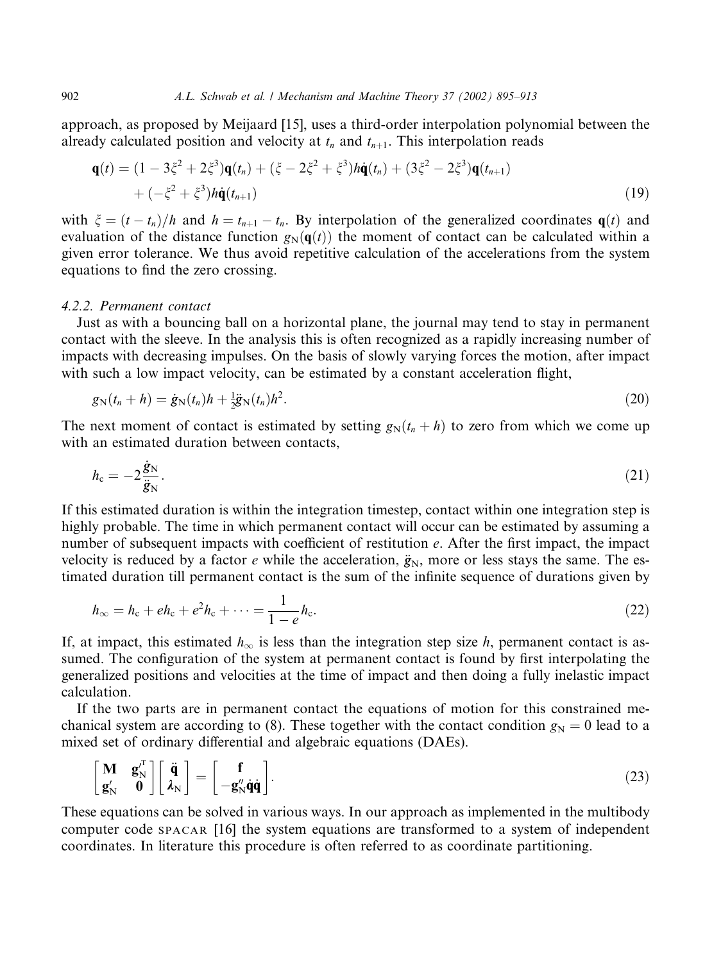approach, as proposed by Meijaard [15], uses a third-order interpolation polynomial between the already calculated position and velocity at  $t_n$  and  $t_{n+1}$ . This interpolation reads

$$
\mathbf{q}(t) = (1 - 3\xi^2 + 2\xi^3)\mathbf{q}(t_n) + (\xi - 2\xi^2 + \xi^3)h\dot{\mathbf{q}}(t_n) + (3\xi^2 - 2\xi^3)\mathbf{q}(t_{n+1}) + (-\xi^2 + \xi^3)h\dot{\mathbf{q}}(t_{n+1})
$$
\n(19)

with  $\xi = (t - t_n)/h$  and  $h = t_{n+1} - t_n$ . By interpolation of the generalized coordinates  $q(t)$  and evaluation of the distance function  $g_N(\mathbf{q}(t))$  the moment of contact can be calculated within a given error tolerance. We thus avoid repetitive calculation of the accelerations from the system equations to find the zero crossing.

#### 4.2.2. Permanent contact

Just as with a bouncing ball on a horizontal plane, the journal may tend to stay in permanent contact with the sleeve. In the analysis this is often recognized as a rapidly increasing number of impacts with decreasing impulses. On the basis of slowly varying forces the motion, after impact with such a low impact velocity, can be estimated by a constant acceleration flight,

$$
g_{N}(t_{n}+h)=\dot{g}_{N}(t_{n})h+\frac{1}{2}\ddot{g}_{N}(t_{n})h^{2}.
$$
\n(20)

The next moment of contact is estimated by setting  $g_N(t_n + h)$  to zero from which we come up with an estimated duration between contacts,

$$
h_{\rm c} = -2\frac{\dot{g}_{\rm N}}{\ddot{g}_{\rm N}}.\tag{21}
$$

If this estimated duration is within the integration timestep, contact within one integration step is highly probable. The time in which permanent contact will occur can be estimated by assuming a number of subsequent impacts with coefficient of restitution e. After the first impact, the impact velocity is reduced by a factor e while the acceleration,  $\ddot{g}_N$ , more or less stays the same. The estimated duration till permanent contact is the sum of the infinite sequence of durations given by

$$
h_{\infty} = h_{\rm c} + eh_{\rm c} + e^2 h_{\rm c} + \dots = \frac{1}{1 - e} h_{\rm c}.
$$
 (22)

If, at impact, this estimated  $h_{\infty}$  is less than the integration step size h, permanent contact is assumed. The configuration of the system at permanent contact is found by first interpolating the generalized positions and velocities at the time of impact and then doing a fully inelastic impact calculation.

If the two parts are in permanent contact the equations of motion for this constrained mechanical system are according to (8). These together with the contact condition  $g_N = 0$  lead to a mixed set of ordinary differential and algebraic equations (DAEs).

$$
\begin{bmatrix} \mathbf{M} & \mathbf{g}_{N}^{J} \\ \mathbf{g}_{N}^{J} & \mathbf{0} \end{bmatrix} \begin{bmatrix} \ddot{\mathbf{q}} \\ \dot{\lambda}_{N} \end{bmatrix} = \begin{bmatrix} \mathbf{f} \\ -\mathbf{g}_{N}^{J} \dot{\mathbf{q}} \dot{\mathbf{q}} \end{bmatrix}.
$$
 (23)

These equations can be solved in various ways. In our approach as implemented in the multibody computer code SPACAR [16] the system equations are transformed to a system of independent coordinates. In literature this procedure is often referred to as coordinate partitioning.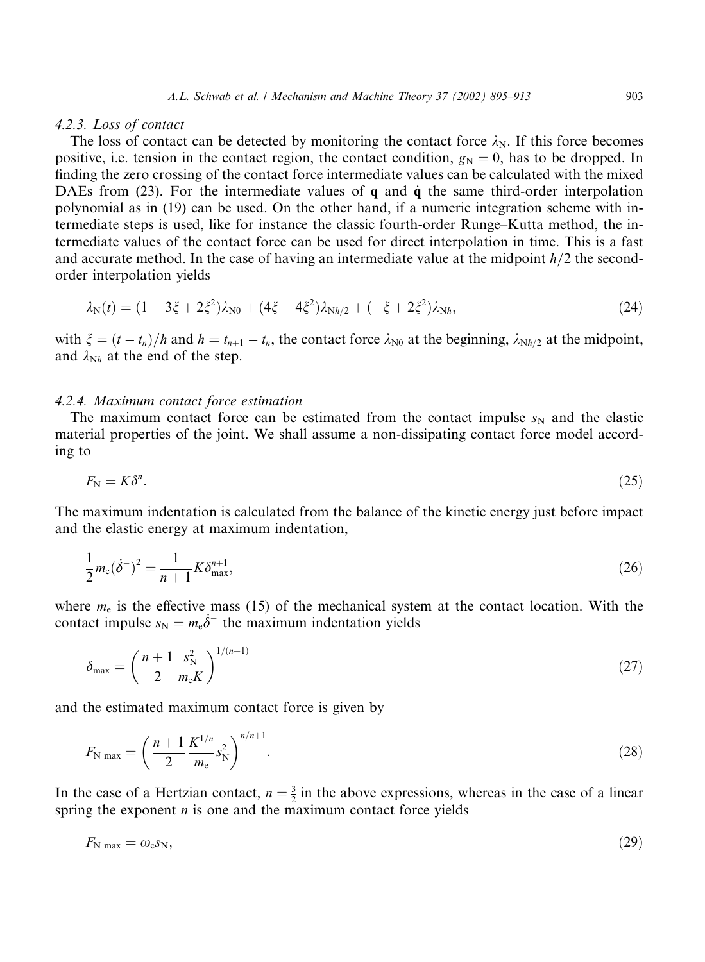#### 4.2.3. Loss of contact

The loss of contact can be detected by monitoring the contact force  $\lambda_N$ . If this force becomes positive, i.e. tension in the contact region, the contact condition,  $g_N = 0$ , has to be dropped. In finding the zero crossing of the contact force intermediate values can be calculated with the mixed DAEs from (23). For the intermediate values of  $\bf{q}$  and  $\dot{\bf{q}}$  the same third-order interpolation polynomial as in (19) can be used. On the other hand, if a numeric integration scheme with intermediate steps is used, like for instance the classic fourth-order Runge–Kutta method, the intermediate values of the contact force can be used for direct interpolation in time. This is a fast and accurate method. In the case of having an intermediate value at the midpoint  $h/2$  the secondorder interpolation yields

$$
\lambda_{N}(t) = (1 - 3\xi + 2\xi^{2})\lambda_{N0} + (4\xi - 4\xi^{2})\lambda_{Nh/2} + (-\xi + 2\xi^{2})\lambda_{Nh}, \tag{24}
$$

with  $\xi = (t - t_n)/h$  and  $h = t_{n+1} - t_n$ , the contact force  $\lambda_{N0}$  at the beginning,  $\lambda_{Nh/2}$  at the midpoint, and  $\lambda_{Nh}$  at the end of the step.

#### 4.2.4. Maximum contact force estimation

The maximum contact force can be estimated from the contact impulse  $s_N$  and the elastic material properties of the joint. We shall assume a non-dissipating contact force model according to

$$
F_{\rm N}=K\delta^n.\tag{25}
$$

The maximum indentation is calculated from the balance of the kinetic energy just before impact and the elastic energy at maximum indentation,

$$
\frac{1}{2}m_e(\dot{\delta}^-)^2 = \frac{1}{n+1}K\delta_{\max}^{n+1},\tag{26}
$$

where  $m_e$  is the effective mass (15) of the mechanical system at the contact location. With the contact impulse  $s_N = m_e \dot{\delta}^-$  the maximum indentation yields

$$
\delta_{\max} = \left(\frac{n+1}{2} \frac{s_{\rm N}^2}{m_{\rm e} K}\right)^{1/(n+1)}
$$
(27)

and the estimated maximum contact force is given by

$$
F_{\rm N \, max} = \left(\frac{n+1}{2} \frac{K^{1/n}}{m_{\rm e}} s_{\rm N}^2\right)^{n/n+1}.\tag{28}
$$

In the case of a Hertzian contact,  $n = \frac{3}{2}$  in the above expressions, whereas in the case of a linear spring the exponent  $n$  is one and the maximum contact force yields

$$
F_{\rm N\,max} = \omega_{\rm c} s_{\rm N},\tag{29}
$$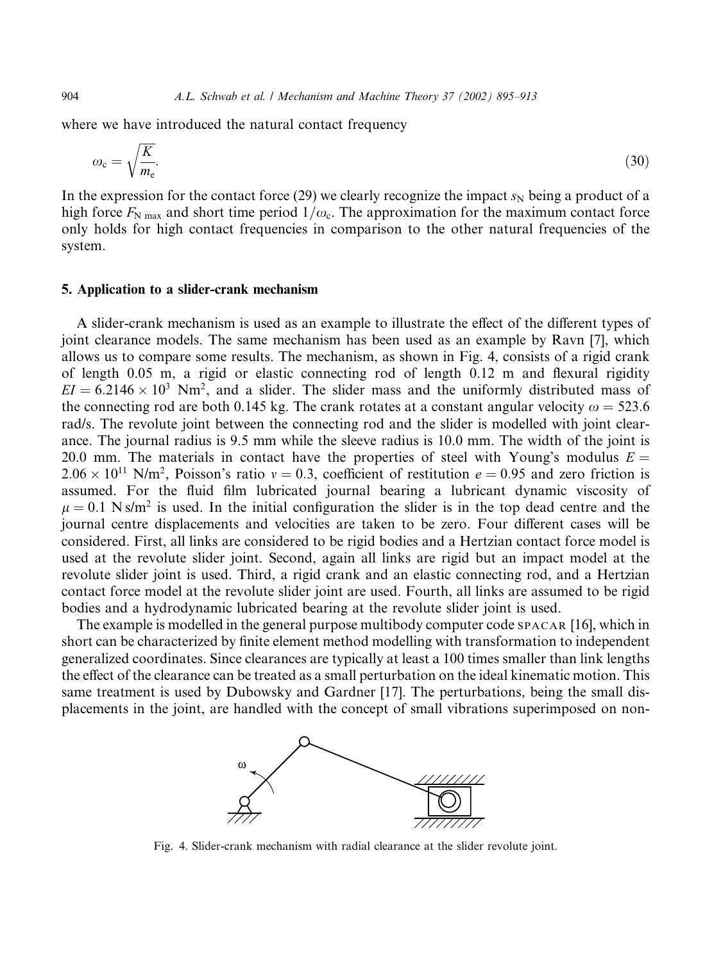where we have introduced the natural contact frequency

$$
\omega_{\rm c} = \sqrt{\frac{K}{m_{\rm e}}}.\tag{30}
$$

In the expression for the contact force (29) we clearly recognize the impact  $s_N$  being a product of a high force  $F_{\text{N max}}$  and short time period  $1/\omega_c$ . The approximation for the maximum contact force only holds for high contact frequencies in comparison to the other natural frequencies of the system.

#### 5. Application to a slider-crank mechanism

A slider-crank mechanism is used as an example to illustrate the effect of the different types of joint clearance models. The same mechanism has been used as an example by Ravn [7], which allows us to compare some results. The mechanism, as shown in Fig. 4, consists of a rigid crank of length 0.05 m, a rigid or elastic connecting rod of length 0.12 m and flexural rigidity  $EI = 6.2146 \times 10^3$  Nm<sup>2</sup>, and a slider. The slider mass and the uniformly distributed mass of the connecting rod are both 0.145 kg. The crank rotates at a constant angular velocity  $\omega = 523.6$ rad/s. The revolute joint between the connecting rod and the slider is modelled with joint clearance. The journal radius is 9.5 mm while the sleeve radius is 10.0 mm. The width of the joint is 20.0 mm. The materials in contact have the properties of steel with Young's modulus  $E =$  $2.06 \times 10^{11}$  N/m<sup>2</sup>, Poisson's ratio  $v = 0.3$ , coefficient of restitution  $e = 0.95$  and zero friction is assumed. For the fluid film lubricated journal bearing a lubricant dynamic viscosity of  $\mu = 0.1$  N s/m<sup>2</sup> is used. In the initial configuration the slider is in the top dead centre and the journal centre displacements and velocities are taken to be zero. Four different cases will be considered. First, all links are considered to be rigid bodies and a Hertzian contact force model is used at the revolute slider joint. Second, again all links are rigid but an impact model at the revolute slider joint is used. Third, a rigid crank and an elastic connecting rod, and a Hertzian contact force model at the revolute slider joint are used. Fourth, all links are assumed to be rigid bodies and a hydrodynamic lubricated bearing at the revolute slider joint is used.

The example is modelled in the general purpose multibody computer code SPACAR [16], which in short can be characterized by finite element method modelling with transformation to independent generalized coordinates. Since clearances are typically at least a 100 times smaller than link lengths the effect of the clearance can be treated as a small perturbation on the ideal kinematic motion. This same treatment is used by Dubowsky and Gardner [17]. The perturbations, being the small displacements in the joint, are handled with the concept of small vibrations superimposed on non-



Fig. 4. Slider-crank mechanism with radial clearance at the slider revolute joint.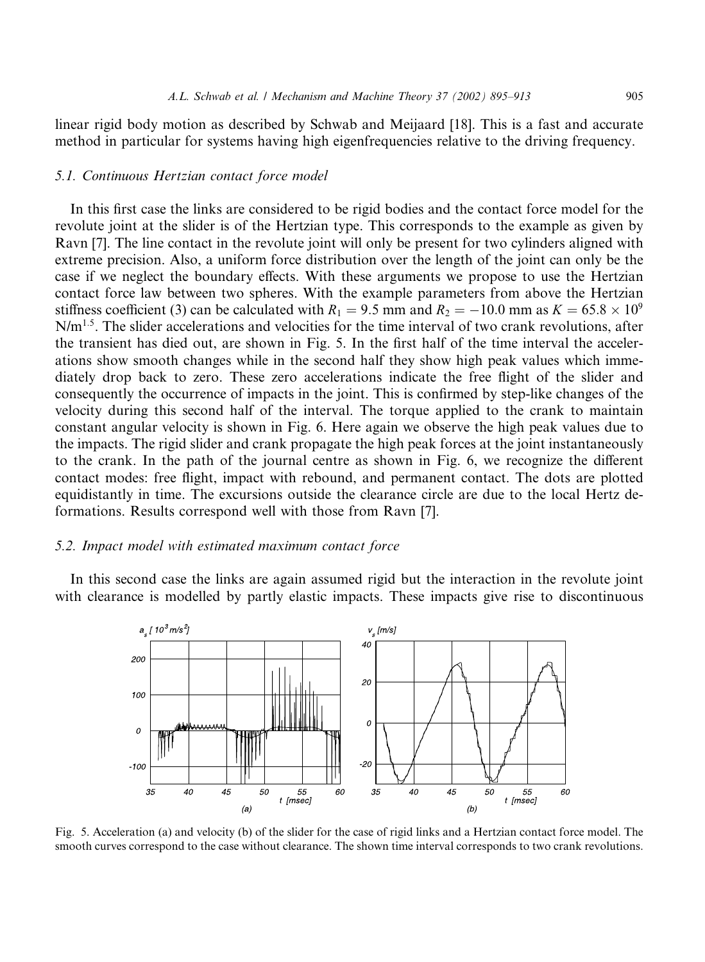linear rigid body motion as described by Schwab and Meijaard [18]. This is a fast and accurate method in particular for systems having high eigenfrequencies relative to the driving frequency.

# 5.1. Continuous Hertzian contact force model

In this first case the links are considered to be rigid bodies and the contact force model for the revolute joint at the slider is of the Hertzian type. This corresponds to the example as given by Ravn [7]. The line contact in the revolute joint will only be present for two cylinders aligned with extreme precision. Also, a uniform force distribution over the length of the joint can only be the case if we neglect the boundary effects. With these arguments we propose to use the Hertzian contact force law between two spheres. With the example parameters from above the Hertzian stiffness coefficient (3) can be calculated with  $R_1 = 9.5$  mm and  $R_2 = -10.0$  mm as  $K = 65.8 \times 10^9$ N/m<sup>1.5</sup>. The slider accelerations and velocities for the time interval of two crank revolutions, after the transient has died out, are shown in Fig. 5. In the first half of the time interval the accelerations show smooth changes while in the second half they show high peak values which immediately drop back to zero. These zero accelerations indicate the free flight of the slider and consequently the occurrence of impacts in the joint. This is confirmed by step-like changes of the velocity during this second half of the interval. The torque applied to the crank to maintain constant angular velocity is shown in Fig. 6. Here again we observe the high peak values due to the impacts. The rigid slider and crank propagate the high peak forces at the joint instantaneously to the crank. In the path of the journal centre as shown in Fig. 6, we recognize the different contact modes: free flight, impact with rebound, and permanent contact. The dots are plotted equidistantly in time. The excursions outside the clearance circle are due to the local Hertz deformations. Results correspond well with those from Ravn [7].

# 5.2. Impact model with estimated maximum contact force

In this second case the links are again assumed rigid but the interaction in the revolute joint with clearance is modelled by partly elastic impacts. These impacts give rise to discontinuous



Fig. 5. Acceleration (a) and velocity (b) of the slider for the case of rigid links and a Hertzian contact force model. The smooth curves correspond to the case without clearance. The shown time interval corresponds to two crank revolutions.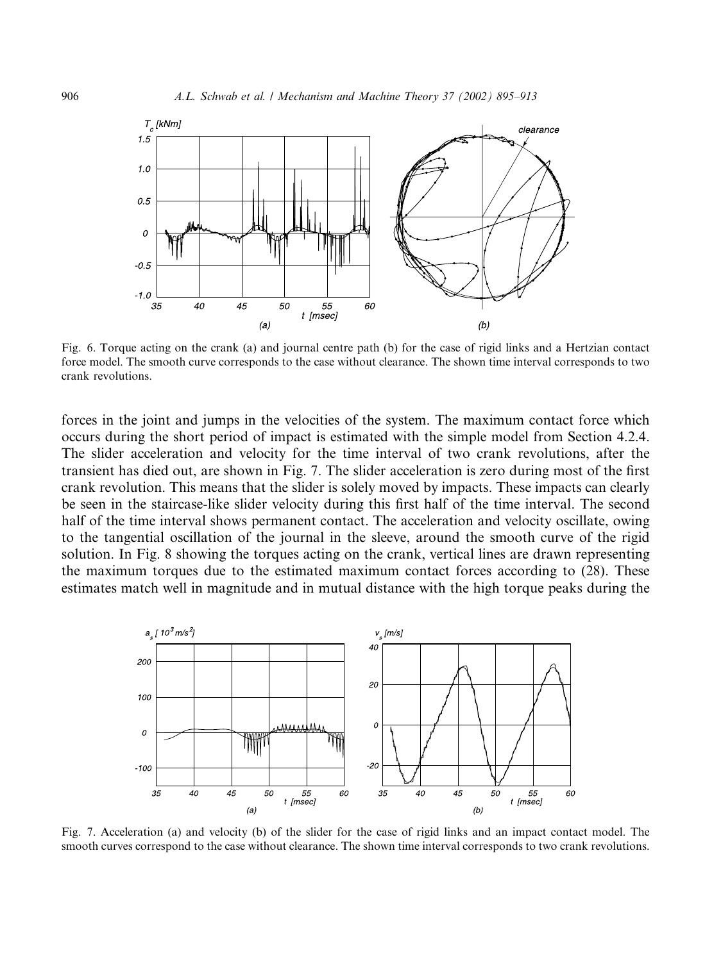

Fig. 6. Torque acting on the crank (a) and journal centre path (b) for the case of rigid links and a Hertzian contact force model. The smooth curve corresponds to the case without clearance. The shown time interval corresponds to two crank revolutions.

forces in the joint and jumps in the velocities of the system. The maximum contact force which occurs during the short period of impact is estimated with the simple model from Section 4.2.4. The slider acceleration and velocity for the time interval of two crank revolutions, after the transient has died out, are shown in Fig. 7. The slider acceleration is zero during most of the first crank revolution. This means that the slider is solely moved by impacts. These impacts can clearly be seen in the staircase-like slider velocity during this first half of the time interval. The second half of the time interval shows permanent contact. The acceleration and velocity oscillate, owing to the tangential oscillation of the journal in the sleeve, around the smooth curve of the rigid solution. In Fig. 8 showing the torques acting on the crank, vertical lines are drawn representing the maximum torques due to the estimated maximum contact forces according to (28). These estimates match well in magnitude and in mutual distance with the high torque peaks during the



Fig. 7. Acceleration (a) and velocity (b) of the slider for the case of rigid links and an impact contact model. The smooth curves correspond to the case without clearance. The shown time interval corresponds to two crank revolutions.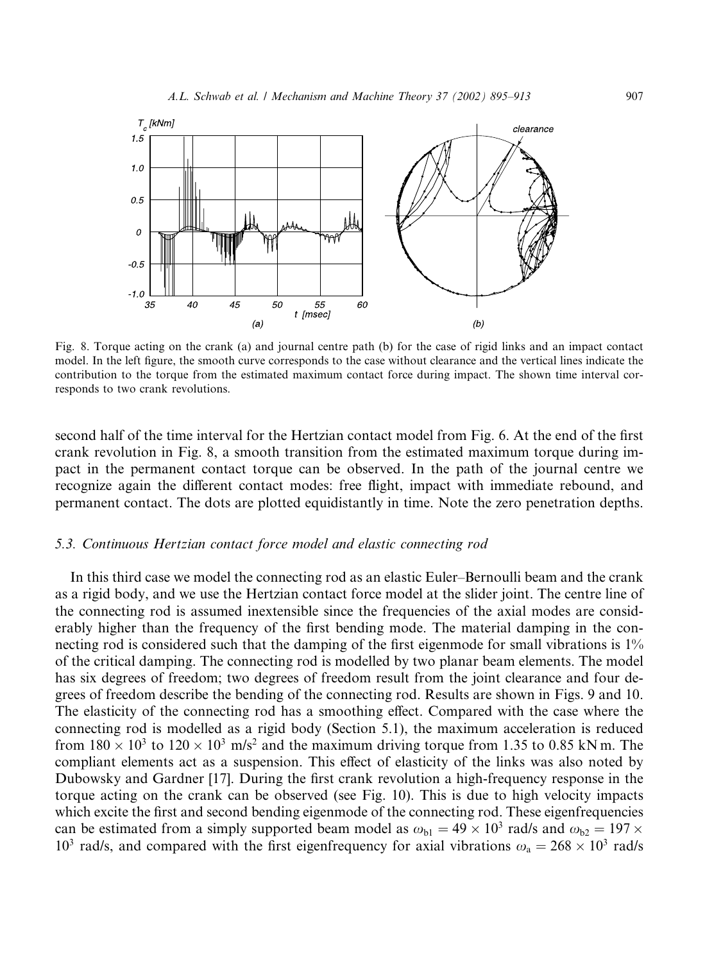

Fig. 8. Torque acting on the crank (a) and journal centre path (b) for the case of rigid links and an impact contact model. In the left figure, the smooth curve corresponds to the case without clearance and the vertical lines indicate the contribution to the torque from the estimated maximum contact force during impact. The shown time interval corresponds to two crank revolutions.

second half of the time interval for the Hertzian contact model from Fig. 6. At the end of the first crank revolution in Fig. 8, a smooth transition from the estimated maximum torque during impact in the permanent contact torque can be observed. In the path of the journal centre we recognize again the different contact modes: free flight, impact with immediate rebound, and permanent contact. The dots are plotted equidistantly in time. Note the zero penetration depths.

#### 5.3. Continuous Hertzian contact force model and elastic connecting rod

In this third case we model the connecting rod as an elastic Euler–Bernoulli beam and the crank as a rigid body, and we use the Hertzian contact force model at the slider joint. The centre line of the connecting rod is assumed inextensible since the frequencies of the axial modes are considerably higher than the frequency of the first bending mode. The material damping in the connecting rod is considered such that the damping of the first eigenmode for small vibrations is 1% of the critical damping. The connecting rod is modelled by two planar beam elements. The model has six degrees of freedom; two degrees of freedom result from the joint clearance and four degrees of freedom describe the bending of the connecting rod. Results are shown in Figs. 9 and 10. The elasticity of the connecting rod has a smoothing effect. Compared with the case where the connecting rod is modelled as a rigid body (Section 5.1), the maximum acceleration is reduced from  $180 \times 10^3$  to  $120 \times 10^3$  m/s<sup>2</sup> and the maximum driving torque from 1.35 to 0.85 kN m. The compliant elements act as a suspension. This effect of elasticity of the links was also noted by Dubowsky and Gardner [17]. During the first crank revolution a high-frequency response in the torque acting on the crank can be observed (see Fig. 10). This is due to high velocity impacts which excite the first and second bending eigenmode of the connecting rod. These eigenfrequencies can be estimated from a simply supported beam model as  $\omega_{bl} = 49 \times 10^3$  rad/s and  $\omega_{b2} = 197 \times$ 10<sup>3</sup> rad/s, and compared with the first eigenfrequency for axial vibrations  $\omega_a = 268 \times 10^3$  rad/s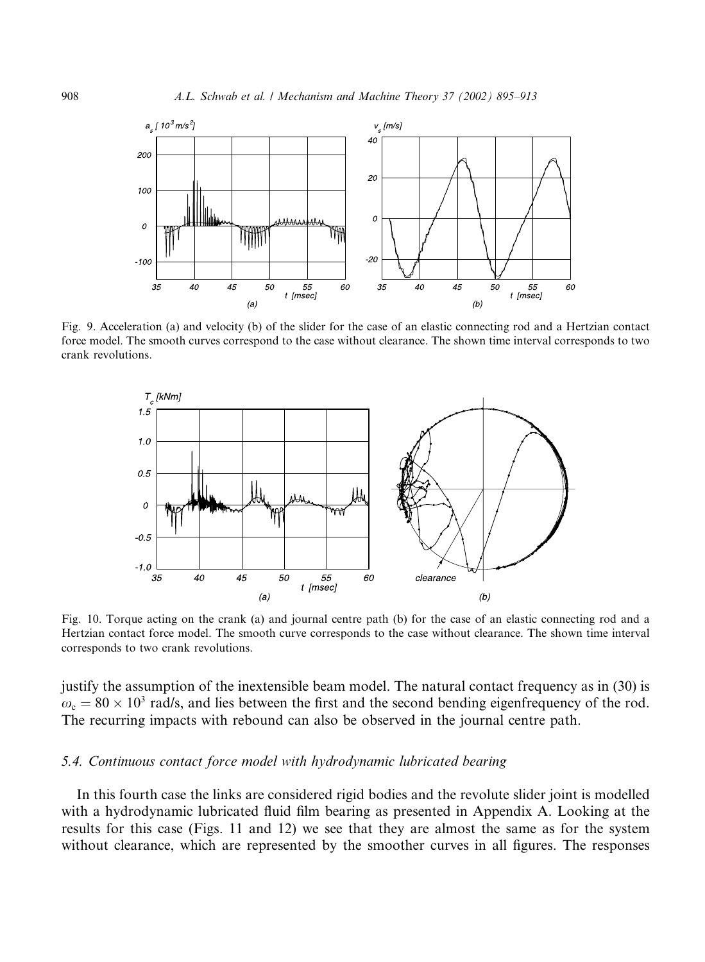

Fig. 9. Acceleration (a) and velocity (b) of the slider for the case of an elastic connecting rod and a Hertzian contact force model. The smooth curves correspond to the case without clearance. The shown time interval corresponds to two crank revolutions.



Fig. 10. Torque acting on the crank (a) and journal centre path (b) for the case of an elastic connecting rod and a Hertzian contact force model. The smooth curve corresponds to the case without clearance. The shown time interval corresponds to two crank revolutions.

justify the assumption of the inextensible beam model. The natural contact frequency as in (30) is  $\omega_c = 80 \times 10^3$  rad/s, and lies between the first and the second bending eigenfrequency of the rod. The recurring impacts with rebound can also be observed in the journal centre path.

# 5.4. Continuous contact force model with hydrodynamic lubricated bearing

In this fourth case the links are considered rigid bodies and the revolute slider joint is modelled with a hydrodynamic lubricated fluid film bearing as presented in Appendix A. Looking at the results for this case (Figs. 11 and 12) we see that they are almost the same as for the system without clearance, which are represented by the smoother curves in all figures. The responses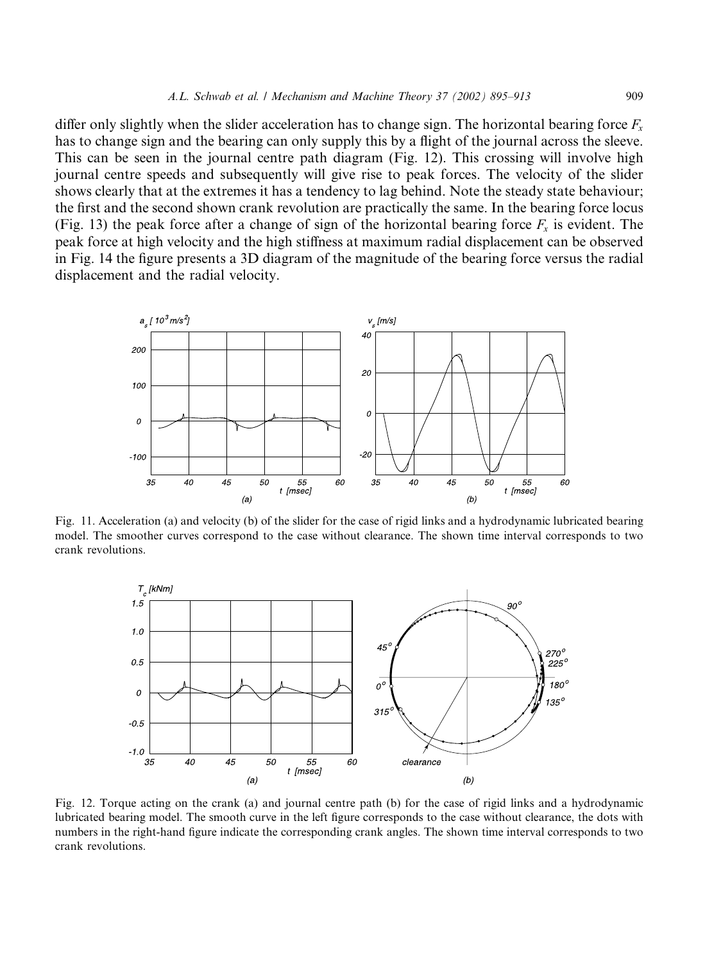differ only slightly when the slider acceleration has to change sign. The horizontal bearing force  $F<sub>x</sub>$ has to change sign and the bearing can only supply this by a flight of the journal across the sleeve. This can be seen in the journal centre path diagram (Fig. 12). This crossing will involve high journal centre speeds and subsequently will give rise to peak forces. The velocity of the slider shows clearly that at the extremes it has a tendency to lag behind. Note the steady state behaviour; the first and the second shown crank revolution are practically the same. In the bearing force locus (Fig. 13) the peak force after a change of sign of the horizontal bearing force  $F_x$  is evident. The peak force at high velocity and the high stiffness at maximum radial displacement can be observed in Fig. 14 the figure presents a 3D diagram of the magnitude of the bearing force versus the radial displacement and the radial velocity.



Fig. 11. Acceleration (a) and velocity (b) of the slider for the case of rigid links and a hydrodynamic lubricated bearing model. The smoother curves correspond to the case without clearance. The shown time interval corresponds to two crank revolutions.



Fig. 12. Torque acting on the crank (a) and journal centre path (b) for the case of rigid links and a hydrodynamic lubricated bearing model. The smooth curve in the left figure corresponds to the case without clearance, the dots with numbers in the right-hand figure indicate the corresponding crank angles. The shown time interval corresponds to two crank revolutions.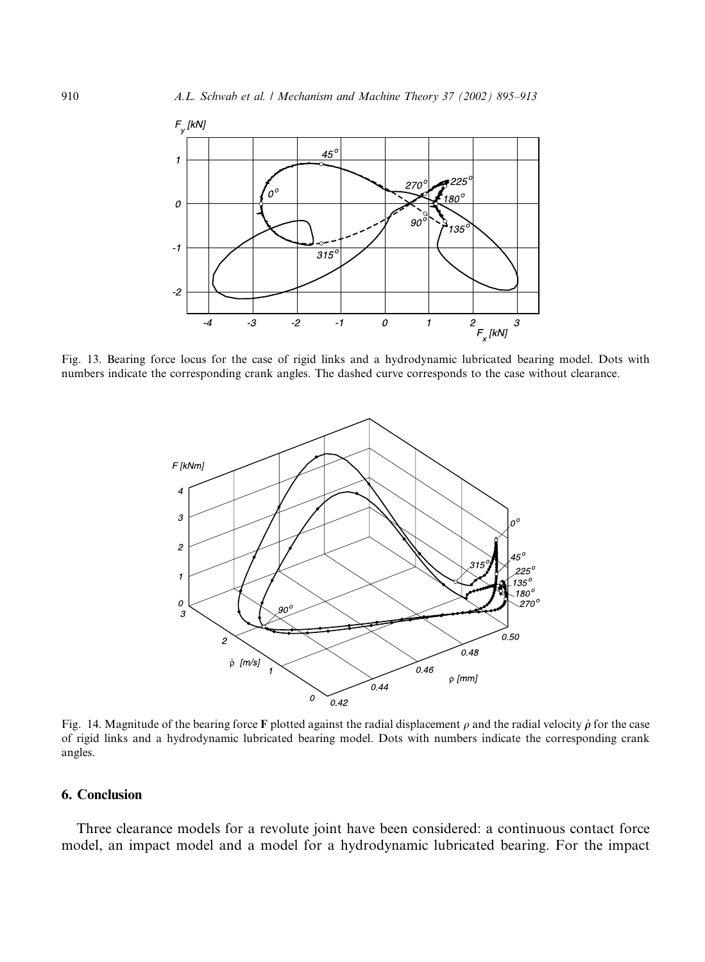

Fig. 13. Bearing force locus for the case of rigid links and a hydrodynamic lubricated bearing model. Dots with numbers indicate the corresponding crank angles. The dashed curve corresponds to the case without clearance.



Fig. 14. Magnitude of the bearing force F plotted against the radial displacement  $\rho$  and the radial velocity  $\dot{\rho}$  for the case of rigid links and a hydrodynamic lubricated bearing model. Dots with numbers indicate the corresponding crank angles.

# 6. Conclusion

Three clearance models for a revolute joint have been considered: a continuous contact force model, an impact model and a model for a hydrodynamic lubricated bearing. For the impact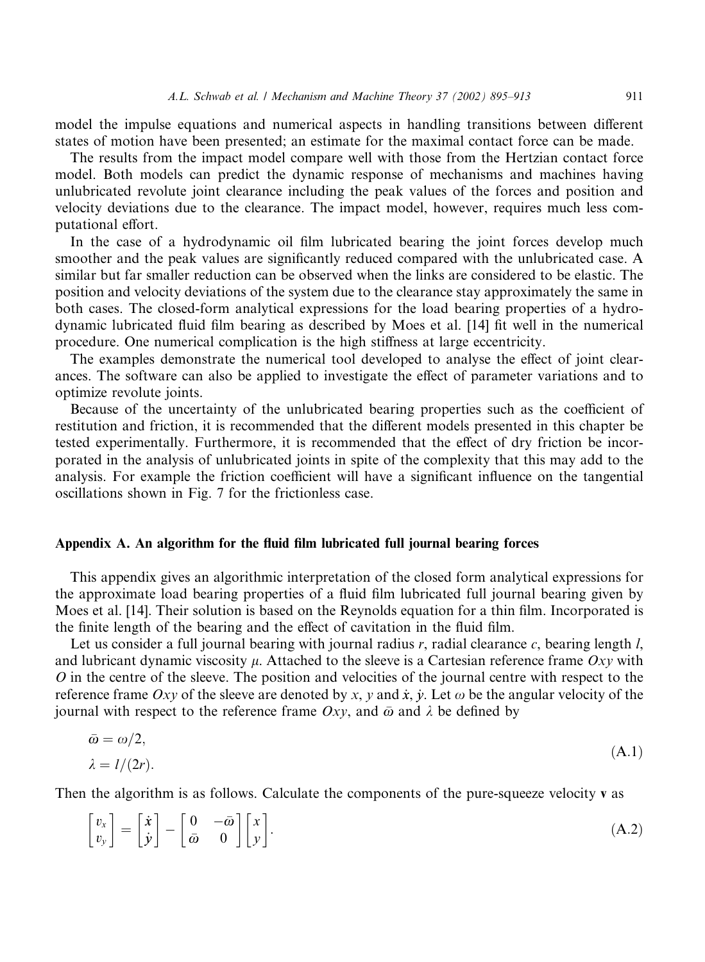model the impulse equations and numerical aspects in handling transitions between different states of motion have been presented; an estimate for the maximal contact force can be made.

The results from the impact model compare well with those from the Hertzian contact force model. Both models can predict the dynamic response of mechanisms and machines having unlubricated revolute joint clearance including the peak values of the forces and position and velocity deviations due to the clearance. The impact model, however, requires much less computational effort.

In the case of a hydrodynamic oil film lubricated bearing the joint forces develop much smoother and the peak values are significantly reduced compared with the unlubricated case. A similar but far smaller reduction can be observed when the links are considered to be elastic. The position and velocity deviations of the system due to the clearance stay approximately the same in both cases. The closed-form analytical expressions for the load bearing properties of a hydrodynamic lubricated fluid film bearing as described by Moes et al. [14] fit well in the numerical procedure. One numerical complication is the high stiffness at large eccentricity.

The examples demonstrate the numerical tool developed to analyse the effect of joint clearances. The software can also be applied to investigate the effect of parameter variations and to optimize revolute joints.

Because of the uncertainty of the unlubricated bearing properties such as the coefficient of restitution and friction, it is recommended that the different models presented in this chapter be tested experimentally. Furthermore, it is recommended that the effect of dry friction be incorporated in the analysis of unlubricated joints in spite of the complexity that this may add to the analysis. For example the friction coefficient will have a significant influence on the tangential oscillations shown in Fig. 7 for the frictionless case.

#### Appendix A. An algorithm for the fluid film lubricated full journal bearing forces

This appendix gives an algorithmic interpretation of the closed form analytical expressions for the approximate load bearing properties of a fluid film lubricated full journal bearing given by Moes et al. [14]. Their solution is based on the Reynolds equation for a thin film. Incorporated is the finite length of the bearing and the effect of cavitation in the fluid film.

Let us consider a full journal bearing with journal radius  $r$ , radial clearance  $c$ , bearing length  $l$ , and lubricant dynamic viscosity  $\mu$ . Attached to the sleeve is a Cartesian reference frame Oxy with O in the centre of the sleeve. The position and velocities of the journal centre with respect to the reference frame Oxy of the sleeve are denoted by x, y and x, y. Let  $\omega$  be the angular velocity of the journal with respect to the reference frame  $Oxy$ , and  $\bar{\omega}$  and  $\lambda$  be defined by

$$
\bar{\omega} = \omega/2, \n\lambda = l/(2r).
$$
\n(A.1)

Then the algorithm is as follows. Calculate the components of the pure-squeeze velocity v as

$$
\begin{bmatrix} v_x \\ v_y \end{bmatrix} = \begin{bmatrix} \dot{x} \\ \dot{y} \end{bmatrix} - \begin{bmatrix} 0 & -\bar{\omega} \\ \bar{\omega} & 0 \end{bmatrix} \begin{bmatrix} x \\ y \end{bmatrix}.
$$
 (A.2)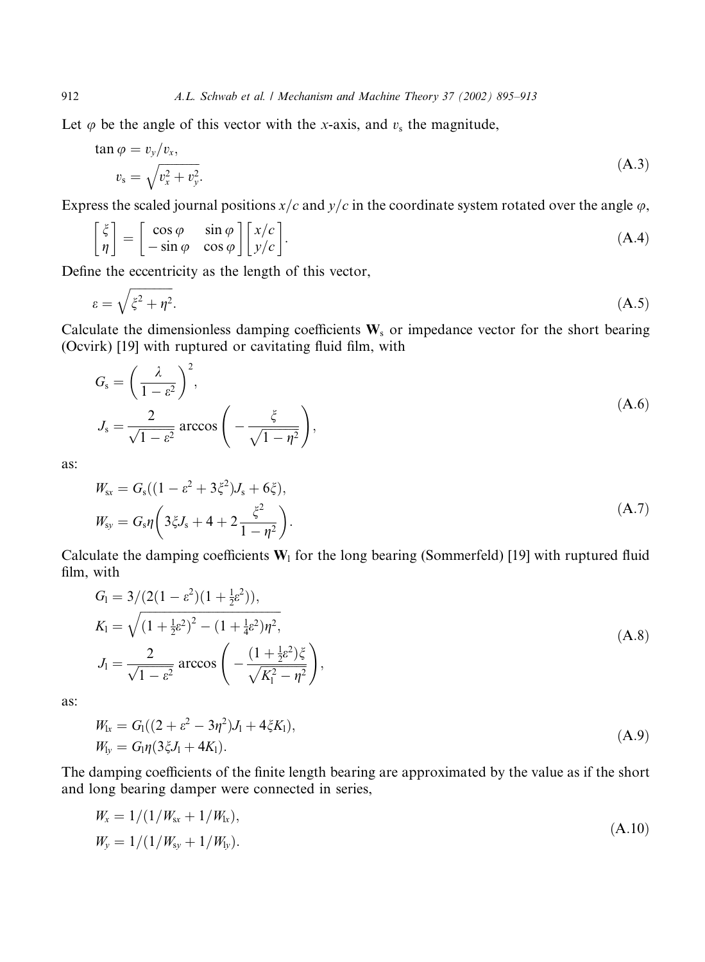Let  $\varphi$  be the angle of this vector with the x-axis, and  $v_s$  the magnitude,

$$
\tan \varphi = v_y/v_x,
$$
  
\n
$$
v_s = \sqrt{v_x^2 + v_y^2}.
$$
\n(A.3)

Express the scaled journal positions  $x/c$  and  $y/c$  in the coordinate system rotated over the angle  $\varphi$ ,

$$
\begin{bmatrix} \xi \\ \eta \end{bmatrix} = \begin{bmatrix} \cos \varphi & \sin \varphi \\ -\sin \varphi & \cos \varphi \end{bmatrix} \begin{bmatrix} x/c \\ y/c \end{bmatrix}.
$$
 (A.4)

Define the eccentricity as the length of this vector,

 $\sim$ 

$$
\varepsilon = \sqrt{\xi^2 + \eta^2}.\tag{A.5}
$$

Calculate the dimensionless damping coefficients  $W_s$  or impedance vector for the short bearing (Ocvirk) [19] with ruptured or cavitating fluid film, with

$$
G_{s} = \left(\frac{\lambda}{1 - \varepsilon^{2}}\right)^{2},
$$
  
\n
$$
J_{s} = \frac{2}{\sqrt{1 - \varepsilon^{2}}} \arccos\left(-\frac{\xi}{\sqrt{1 - \eta^{2}}}\right),
$$
\n(A.6)

as:

$$
W_{\rm sx} = G_{\rm s}((1 - \varepsilon^2 + 3\xi^2)J_{\rm s} + 6\xi),
$$
  
\n
$$
W_{\rm sy} = G_{\rm s}\eta\left(3\xi J_{\rm s} + 4 + 2\frac{\xi^2}{1 - \eta^2}\right).
$$
\n(A.7)

Calculate the damping coefficients  $W_1$  for the long bearing (Sommerfeld) [19] with ruptured fluid film, with

$$
G_1 = 3/(2(1 - \varepsilon^2)(1 + \frac{1}{2}\varepsilon^2)),
$$
  
\n
$$
K_1 = \sqrt{(1 + \frac{1}{2}\varepsilon^2)^2 - (1 + \frac{1}{4}\varepsilon^2)\eta^2},
$$
  
\n
$$
J_1 = \frac{2}{\sqrt{1 - \varepsilon^2}} \arccos\left(-\frac{(1 + \frac{1}{2}\varepsilon^2)\xi}{\sqrt{K_1^2 - \eta^2}}\right),
$$
\n(A.8)

as:

$$
W_{1x} = G_1((2 + \varepsilon^2 - 3\eta^2)J_1 + 4\xi K_1),
$$
  
\n
$$
W_{1y} = G_1 \eta (3\xi J_1 + 4K_1).
$$
\n(A.9)

The damping coefficients of the finite length bearing are approximated by the value as if the short and long bearing damper were connected in series,

$$
W_x = 1/(1/W_{\rm sx} + 1/W_{\rm lr}),
$$
  
\n
$$
W_y = 1/(1/W_{\rm sy} + 1/W_{\rm ly}).
$$
\n(A.10)